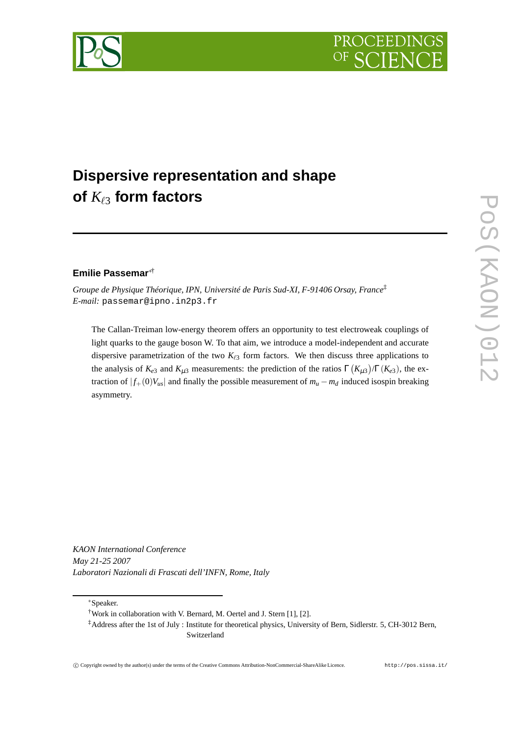



# **Dispersive representation and shape of** *K*ℓ<sup>3</sup> **form factors**

# **Emilie Passemar**∗†

*Groupe de Physique Théorique, IPN, Université de Paris Sud-XI, F-91406 Orsay, France*‡ *E-mail:* passemar@ipno.in2p3.fr

The Callan-Treiman low-energy theorem offers an opportunity to test electroweak couplings of light quarks to the gauge boson W. To that aim, we introduce a model-independent and accurate dispersive parametrization of the two  $K_{\ell 3}$  form factors. We then discuss three applications to the analysis of  $K_{e3}$  and  $K_{\mu 3}$  measurements: the prediction of the ratios  $\Gamma(K_{\mu 3})/\Gamma(K_{e3})$ , the extraction of  $|f_+(0)V_{us}|$  and finally the possible measurement of  $m_u - m_d$  induced isospin breaking asymmetry.

*KAON International Conference May 21-25 2007 Laboratori Nazionali di Frascati dell'INFN, Rome, Italy*

<sup>∗</sup>Speaker.

<sup>†</sup>Work in collaboration with V. Bernard, M. Oertel and J. Stern [1], [2].

<sup>‡</sup>Address after the 1st of July : Institute for theoretical physics, University of Bern, Sidlerstr. 5, CH-3012 Bern, Switzerland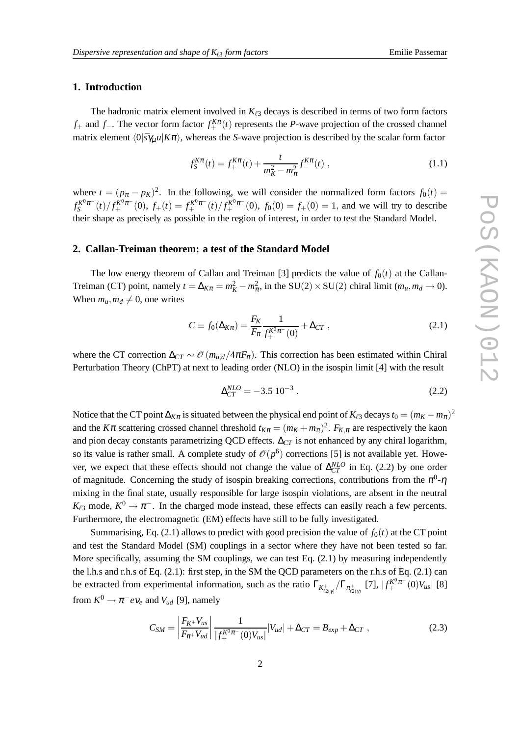# **1. Introduction**

The hadronic matrix element involved in  $K_{\ell 3}$  decays is described in terms of two form factors *f*<sup>+</sup> and *f*<sup>−</sup>. The vector form factor  $f_+^{K\pi}(t)$  represents the *P*-wave projection of the crossed channel matrix element  $\langle 0|\bar{s}\gamma_\mu u|K\pi\rangle$ , whereas the *S*-wave projection is described by the scalar form factor

$$
f_S^{K\pi}(t) = f_+^{K\pi}(t) + \frac{t}{m_K^2 - m_\pi^2} f_-^{K\pi}(t) ,
$$
 (1.1)

where  $t = (p_{\pi} - p_K)^2$ . In the following, we will consider the normalized form factors  $f_0(t) =$  $f_S^{K^0\pi^-}$  $S^{K^0\pi^-}(t)/f^{K^0\pi^-}_+(0)$ ,  $f_+(t) = f^{K^0\pi^-}_+(t)/f^{K^0\pi^-}_+(0)$ ,  $f_0(0) = f_+(0) = 1$ , and we will try to describe their shape as precisely as possible in the region of interest, in order to test the Standard Model.

#### **2. Callan-Treiman theorem: a test of the Standard Model**

The low energy theorem of Callan and Treiman [3] predicts the value of  $f_0(t)$  at the Callan-Treiman (CT) point, namely  $t = \Delta_{K\pi} = m_K^2 - m_{\pi}^2$ , in the SU(2) × SU(2) chiral limit ( $m_u, m_d \to 0$ ). When  $m_u, m_d \neq 0$ , one writes

$$
C \equiv f_0(\Delta_{K\pi}) = \frac{F_K}{F_\pi} \frac{1}{f_+^{K^0\pi^-}(0)} + \Delta_{CT} ,
$$
 (2.1)

where the CT correction  $\Delta_{CT} \sim \mathcal{O}(m_{u,d}/4\pi F_\pi)$ . This correction has been estimated within Chiral Perturbation Theory (ChPT) at next to leading order (NLO) in the isospin limit [4] with the result

$$
\Delta_{CT}^{NLO} = -3.5 \, 10^{-3} \,. \tag{2.2}
$$

Notice that the CT point  $\Delta_{K\pi}$  is situated between the physical end point of  $K_{\ell 3}$  decays  $t_0 = (m_K - m_\pi)^2$ and the *K* $\pi$  scattering crossed channel threshold  $t_{K\pi} = (m_K + m_{\pi})^2$ .  $F_{K,\pi}$  are respectively the kaon and pion decay constants parametrizing QCD effects. ∆*CT* is not enhanced by any chiral logarithm, so its value is rather small. A complete study of  $\mathcal{O}(p^6)$  corrections [5] is not available yet. However, we expect that these effects should not change the value of  $\Delta_{CT}^{NLO}$  in Eq. (2.2) by one order of magnitude. Concerning the study of isospin breaking corrections, contributions from the  $\pi^0$ - $\eta$ mixing in the final state, usually responsible for large isospin violations, are absent in the neutral  $K_{\ell 3}$  mode,  $K^0 \to \pi^-$ . In the charged mode instead, these effects can easily reach a few percents. Furthermore, the electromagnetic (EM) effects have still to be fully investigated.

Summarising, Eq. (2.1) allows to predict with good precision the value of  $f_0(t)$  at the CT point and test the Standard Model (SM) couplings in a sector where they have not been tested so far. More specifically, assuming the SM couplings, we can test Eq. (2.1) by measuring independently the l.h.s and r.h.s of Eq. (2.1): first step, in the SM the QCD parameters on the r.h.s of Eq. (2.1) can be extracted from experimental information, such as the ratio  $\Gamma_{K_{t2(\gamma)}^+}/\Gamma_{\pi_{t2(\gamma)}^+}$  [7],  $|f_+^{K^0\pi^-}(0)V_{us}|$  [8] from  $K^0 \rightarrow \pi^- e \nu_e$  and  $V_{ud}$  [9], namely

$$
C_{SM} = \left| \frac{F_{K^+} V_{us}}{F_{\pi^+} V_{ud}} \right| \frac{1}{|f_+^{K^0 \pi^-}(0) V_{us}|} |V_{ud}| + \Delta_{CT} = B_{exp} + \Delta_{CT} , \qquad (2.3)
$$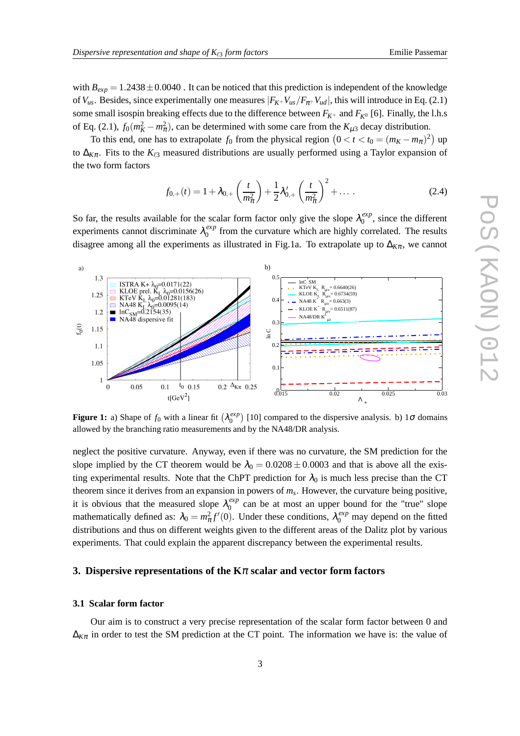with  $B_{exp} = 1.2438 \pm 0.0040$ . It can be noticed that this prediction is independent of the knowledge of  $V_{us}$ . Besides, since experimentally one measures  $|F_{K}+V_{us}/F_{\pi}+V_{ud}|$ , this will introduce in Eq. (2.1) some small isospin breaking effects due to the difference between  $F_{K^+}$  and  $F_{K^0}$  [6]. Finally, the l.h.s of Eq. (2.1),  $f_0(m_K^2 - m_\pi^2)$ , can be determined with some care from the  $K_{\mu 3}$  decay distribution.

To this end, one has to extrapolate  $f_0$  from the physical region  $(0 < t < t_0 = (m_K - m_\pi)^2)$  up to ∆*K*π. Fits to the *K*ℓ<sup>3</sup> measured distributions are usually performed using a Taylor expansion of the two form factors

$$
f_{0,+}(t) = 1 + \lambda_{0,+} \left(\frac{t}{m_{\pi}^2}\right) + \frac{1}{2}\lambda'_{0,+} \left(\frac{t}{m_{\pi}^2}\right)^2 + \dots \tag{2.4}
$$

So far, the results available for the scalar form factor only give the slope  $\lambda_0^{exp}$  $_{0}^{exp}$ , since the different experiments cannot discriminate λ *exp*  $\frac{exp}{0}$  from the curvature which are highly correlated. The results disagree among all the experiments as illustrated in Fig.1a. To extrapolate up to  $\Delta_{K\pi}$ , we cannot



**Figure 1:** a) Shape of  $f_0$  with a linear fit  $(\lambda_0^{exp})$  $\binom{exp}{0}$  [10] compared to the dispersive analysis. b) 1 $\sigma$  domains allowed by the branching ratio measurements and by the NA48/DR analysis.

neglect the positive curvature. Anyway, even if there was no curvature, the SM prediction for the slope implied by the CT theorem would be  $\lambda_0 = 0.0208 \pm 0.0003$  and that is above all the existing experimental results. Note that the ChPT prediction for  $\lambda_0$  is much less precise than the CT theorem since it derives from an expansion in powers of *m<sup>s</sup>* . However, the curvature being positive, it is obvious that the measured slope  $\lambda_0^{exp}$  $_{0}^{exp}$  can be at most an upper bound for the "true" slope mathematically defined as:  $\lambda_0 = m_\pi^2 f'(0)$ . Under these conditions,  $\lambda_0^{exp}$  may depend on the fitted distributions and thus on different weights given to the different areas of the Dalitz plot by various experiments. That could explain the apparent discrepancy between the experimental results.

# **3. Dispersive representations of the K**<sup>π</sup> **scalar and vector form factors**

#### **3.1 Scalar form factor**

Our aim is to construct a very precise representation of the scalar form factor between 0 and  $\Delta_{K\pi}$  in order to test the SM prediction at the CT point. The information we have is: the value of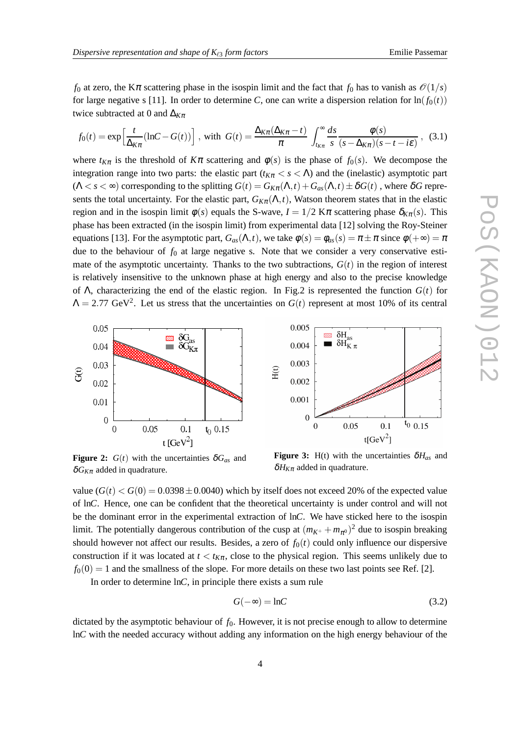*f*<sub>0</sub> at zero, the K $\pi$  scattering phase in the isospin limit and the fact that *f*<sub>0</sub> has to vanish as  $\mathcal{O}(1/s)$ for large negative s [11]. In order to determine *C*, one can write a dispersion relation for  $\ln(f_0(t))$ twice subtracted at 0 and ∆*K*<sup>π</sup>

$$
f_0(t) = \exp\left[\frac{t}{\Delta_{K\pi}}(\ln C - G(t))\right], \text{ with } G(t) = \frac{\Delta_{K\pi}(\Delta_{K\pi} - t)}{\pi} \int_{t_{K\pi}}^{\infty} \frac{ds}{s} \frac{\phi(s)}{(s - \Delta_{K\pi})(s - t - i\varepsilon)}, \tag{3.1}
$$

where  $t_{K\pi}$  is the threshold of  $K\pi$  scattering and  $\phi(s)$  is the phase of  $f_0(s)$ . We decompose the integration range into two parts: the elastic part ( $t_{K\pi} < s < \Lambda$ ) and the (inelastic) asymptotic part  $(\Lambda < s < \infty)$  corresponding to the splitting  $G(t) = G_{K\pi}(\Lambda, t) + G_{as}(\Lambda, t) \pm \delta G(t)$ , where  $\delta G$  represents the total uncertainty. For the elastic part,  $G_{K\pi}(\Lambda,t)$ , Watson theorem states that in the elastic region and in the isospin limit  $\phi(s)$  equals the S-wave,  $I = 1/2$  K $\pi$  scattering phase  $\delta_{K_{\pi}}(s)$ . This phase has been extracted (in the isospin limit) from experimental data [12] solving the Roy-Steiner equations [13]. For the asymptotic part,  $G_{as}(\Lambda, t)$ , we take  $\phi(s) = \phi_{as}(s) = \pi \pm \pi$  since  $\phi(+\infty) = \pi$ due to the behaviour of  $f_0$  at large negative s. Note that we consider a very conservative estimate of the asymptotic uncertainty. Thanks to the two subtractions,  $G(t)$  in the region of interest is relatively insensitive to the unknown phase at high energy and also to the precise knowledge of Λ, characterizing the end of the elastic region. In Fig.2 is represented the function *G*(*t*) for  $\Lambda = 2.77$  GeV<sup>2</sup>. Let us stress that the uncertainties on  $G(t)$  represent at most 10% of its central



**Figure 2:**  $G(t)$  with the uncertainties  $\delta G_{as}$  and  $\delta G_{K\pi}$  added in quadrature.

**Figure 3:** H(t) with the uncertainties  $\delta H_{as}$  and  $\delta H_{K\pi}$  added in quadrature.

value  $(G(t) < G(0) = 0.0398 \pm 0.0040)$  which by itself does not exceed 20% of the expected value of ln*C*. Hence, one can be confident that the theoretical uncertainty is under control and will not be the dominant error in the experimental extraction of ln*C*. We have sticked here to the isospin limit. The potentially dangerous contribution of the cusp at  $(m_{K^+} + m_{\pi^0})^2$  due to isospin breaking should however not affect our results. Besides, a zero of  $f_0(t)$  could only influence our dispersive construction if it was located at  $t < t_{K\pi}$ , close to the physical region. This seems unlikely due to  $f_0(0) = 1$  and the smallness of the slope. For more details on these two last points see Ref. [2].

In order to determine ln*C*, in principle there exists a sum rule

$$
G(-\infty) = \ln C \tag{3.2}
$$

dictated by the asymptotic behaviour of  $f_0$ . However, it is not precise enough to allow to determine ln*C* with the needed accuracy without adding any information on the high energy behaviour of the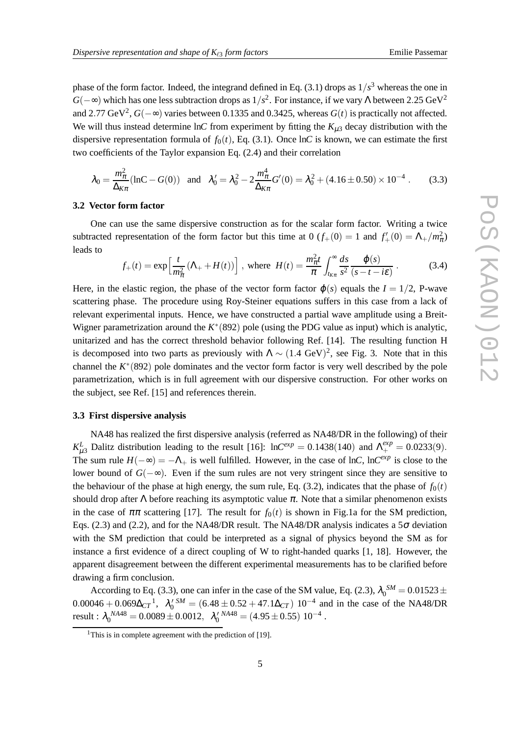phase of the form factor. Indeed, the integrand defined in Eq.  $(3.1)$  drops as  $1/s<sup>3</sup>$  whereas the one in  $G(-\infty)$  which has one less subtraction drops as  $1/s^2$ . For instance, if we vary Λ between 2.25 GeV<sup>2</sup> and 2.77 GeV<sup>2</sup>,  $G(-\infty)$  varies between 0.1335 and 0.3425, whereas  $G(t)$  is practically not affected. We will thus instead determine lnC from experiment by fitting the  $K_{\mu 3}$  decay distribution with the dispersive representation formula of  $f_0(t)$ , Eq. (3.1). Once lnC is known, we can estimate the first two coefficients of the Taylor expansion Eq. (2.4) and their correlation

$$
\lambda_0 = \frac{m_{\pi}^2}{\Delta_{K\pi}} (\ln C - G(0)) \quad \text{and} \quad \lambda_0' = \lambda_0^2 - 2 \frac{m_{\pi}^4}{\Delta_{K\pi}} G'(0) = \lambda_0^2 + (4.16 \pm 0.50) \times 10^{-4} \ . \tag{3.3}
$$

#### **3.2 Vector form factor**

One can use the same dispersive construction as for the scalar form factor. Writing a twice subtracted representation of the form factor but this time at 0  $(f_+(0) = 1$  and  $f'_+(0) = \Lambda_+ / m_\pi^2$ leads to

$$
f_{+}(t) = \exp\left[\frac{t}{m_{\pi}^{2}}\left(\Lambda_{+} + H(t)\right)\right], \text{ where } H(t) = \frac{m_{\pi}^{2}t}{\pi} \int_{t_{K\pi}}^{\infty} \frac{ds}{s^{2}} \frac{\varphi(s)}{(s-t-i\varepsilon)}.
$$
 (3.4)

Here, in the elastic region, the phase of the vector form factor  $\varphi(s)$  equals the  $I = 1/2$ , P-wave scattering phase. The procedure using Roy-Steiner equations suffers in this case from a lack of relevant experimental inputs. Hence, we have constructed a partial wave amplitude using a Breit-Wigner parametrization around the *K* ∗ (892) pole (using the PDG value as input) which is analytic, unitarized and has the correct threshold behavior following Ref. [14]. The resulting function H is decomposed into two parts as previously with  $\Lambda \sim (1.4 \text{ GeV})^2$ , see Fig. 3. Note that in this channel the  $K^*(892)$  pole dominates and the vector form factor is very well described by the pole parametrization, which is in full agreement with our dispersive construction. For other works on the subject, see Ref. [15] and references therein.

### **3.3 First dispersive analysis**

NA48 has realized the first dispersive analysis (referred as NA48/DR in the following) of their *K*<sup>L</sup><sub>μ</sub>3</sub> Dalitz distribution leading to the result [16]: ln*C*<sup>*exp*</sup> = 0.1438(140) and  $\Lambda^{exp}_{+} = 0.0233(9)$ . The sum rule  $H(-\infty) = -\Lambda_+$  is well fulfilled. However, in the case of ln*C*, ln*C*<sup>*exp*</sup> is close to the lower bound of *G*(−∞). Even if the sum rules are not very stringent since they are sensitive to the behaviour of the phase at high energy, the sum rule, Eq. (3.2), indicates that the phase of  $f_0(t)$ should drop after  $\Lambda$  before reaching its asymptotic value  $\pi$ . Note that a similar phenomenon exists in the case of  $\pi\pi$  scattering [17]. The result for  $f_0(t)$  is shown in Fig.1a for the SM prediction, Eqs. (2.3) and (2.2), and for the NA48/DR result. The NA48/DR analysis indicates a  $5\sigma$  deviation with the SM prediction that could be interpreted as a signal of physics beyond the SM as for instance a first evidence of a direct coupling of W to right-handed quarks [1, 18]. However, the apparent disagreement between the different experimental measurements has to be clarified before drawing a firm conclusion.

According to Eq. (3.3), one can infer in the case of the SM value, Eq. (2.3),  $\lambda_0^{SM} = 0.01523 \pm$  $0.00046 + 0.069\Delta_{CT}^1$ ,  $\lambda_0^{S} = (6.48 \pm 0.52 + 47.1\Delta_{CT}) 10^{-4}$  and in the case of the NA48/DR  $\text{result}: \lambda_0^{NA48} = 0.0089 \pm 0.0012, \ \ \lambda_0^{NAA8} = (4.95 \pm 0.55) \ 10^{-4}.$ 

<sup>&</sup>lt;sup>1</sup>This is in complete agreement with the prediction of  $[19]$ .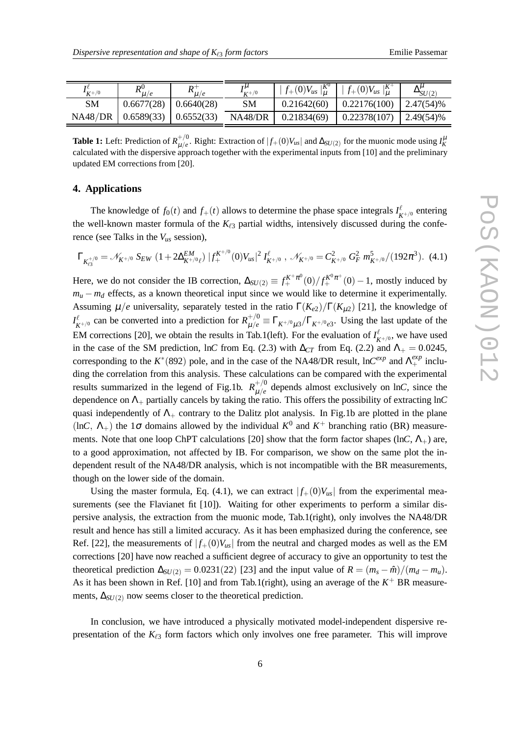| $K^{+/0}$ | $\boldsymbol{\mathsf{R}}^0$<br>$\mathbf{u}/e$ | $_{R^+}$   | $\mathbf{r}^{\mu}$<br>$K+1/0$ | $\int f_+(0)V_{us} _u^{K^0}$ | $  f_+(0)V_{us}  _u^{K^+}$ | $\Delta SU(2)$   |
|-----------|-----------------------------------------------|------------|-------------------------------|------------------------------|----------------------------|------------------|
| SM        | 0.6677(28)                                    | 0.6640(28) | $_{\rm SM}$                   | 0.21642(60)                  | 0.22176(100)               | $\mid$ 2.47(54)% |
| NA48/DR   | $0.6589(33)$ $0.6552(33)$                     |            | NA48/DR                       | 0.21834(69)                  | 0.22378(107)               | $12.49(54)\%$    |

**Table 1:** Left: Prediction of  $R_{\mu/a}^{+/0}$  $\mu/e$ . Right: Extraction of  $|f_+(0)V_{us}|$  and  $\Delta_{SU(2)}$  for the muonic mode using  $I_K^{\mu}$ calculated with the dispersive approach together with the experimental inputs from [10] and the preliminary updated EM corrections from [20].

#### **4. Applications**

The knowledge of  $f_0(t)$  and  $f_+(t)$  allows to determine the phase space integrals  $I_{K^{+/0}}^{\ell}$  entering the well-known master formula of the *K*ℓ<sup>3</sup> partial widths, intensively discussed during the conference (see Talks in the *Vus* session),

$$
\Gamma_{K_{\ell 3}^{+/0}} = \mathscr{N}_{K^{+/0}} S_{EW} \left( 1 + 2 \Delta_{K^{+/0}\ell}^{EM} \right) |f_{+}^{K^{+/0}}(0) V_{us}|^2 I_{K^{+/0}}^{\ell} , \ \mathscr{N}_{K^{+/0}} = C_{K^{+/0}}^2 G_F^2 m_{K^{+/0}}^5 / (192\pi^3). \tag{4.1}
$$

Here, we do not consider the IB correction,  $\Delta_{SU(2)} \equiv f_{+}^{K^{+}\pi^{0}}(0)/f_{+}^{K^{0}\pi^{+}}(0) - 1$ , mostly induced by  $m_u - m_d$  effects, as a known theoretical input since we would like to determine it experimentally. Assuming  $\mu/e$  universality, separately tested in the ratio  $\Gamma(K_{e2})/\Gamma(K_{\mu2})$  [21], the knowledge of  $I_{K^{+/0}}^{\ell}$  can be converted into a prediction for  $R^{+/0}_{\mu/e} \equiv \Gamma_{K^{+/0}\mu 3}/\Gamma_{K^{+/0}e3}$ . Using the last update of the EM corrections [20], we obtain the results in Tab.1(left). For the evaluation of  $I_{K^{+(0)}}^{\ell}$ , we have used in the case of the SM prediction, ln*C* from Eq. (2.3) with  $\Delta_{CT}$  from Eq. (2.2) and  $\Lambda$  = 0.0245, corresponding to the  $K^*(892)$  pole, and in the case of the NA48/DR result,  $\ln C^{exp}$  and  $\Lambda^{exp}_+$  including the correlation from this analysis. These calculations can be compared with the experimental results summarized in the legend of Fig.1b.  $R_{\mu/\rho}^{+/0}$  $\mu/e$  depends almost exclusively on ln*C*, since the dependence on  $\Lambda_+$  partially cancels by taking the ratio. This offers the possibility of extracting lnC quasi independently of  $\Lambda_{+}$  contrary to the Dalitz plot analysis. In Fig.1b are plotted in the plane (ln*C*,  $\Lambda$ <sub>+</sub>) the 1 $\sigma$  domains allowed by the individual  $K^0$  and  $K^+$  branching ratio (BR) measurements. Note that one loop ChPT calculations [20] show that the form factor shapes (ln*C*, Λ+) are, to a good approximation, not affected by IB. For comparison, we show on the same plot the independent result of the NA48/DR analysis, which is not incompatible with the BR measurements, though on the lower side of the domain.

Using the master formula, Eq. (4.1), we can extract  $|f_+(0)V_{us}|$  from the experimental measurements (see the Flavianet fit [10]). Waiting for other experiments to perform a similar dispersive analysis, the extraction from the muonic mode, Tab.1(right), only involves the NA48/DR result and hence has still a limited accuracy. As it has been emphasized during the conference, see Ref. [22], the measurements of  $|f_+(0)V_{us}|$  from the neutral and charged modes as well as the EM corrections [20] have now reached a sufficient degree of accuracy to give an opportunity to test the theoretical prediction  $\Delta_{SU(2)} = 0.0231(22)$  [23] and the input value of  $R = (m_s - \hat{m})/(m_d - m_u)$ . As it has been shown in Ref. [10] and from Tab.1(right), using an average of the  $K^+$  BR measurements,  $\Delta_{SI/(2)}$  now seems closer to the theoretical prediction.

In conclusion, we have introduced a physically motivated model-independent dispersive representation of the  $K_{\ell 3}$  form factors which only involves one free parameter. This will improve